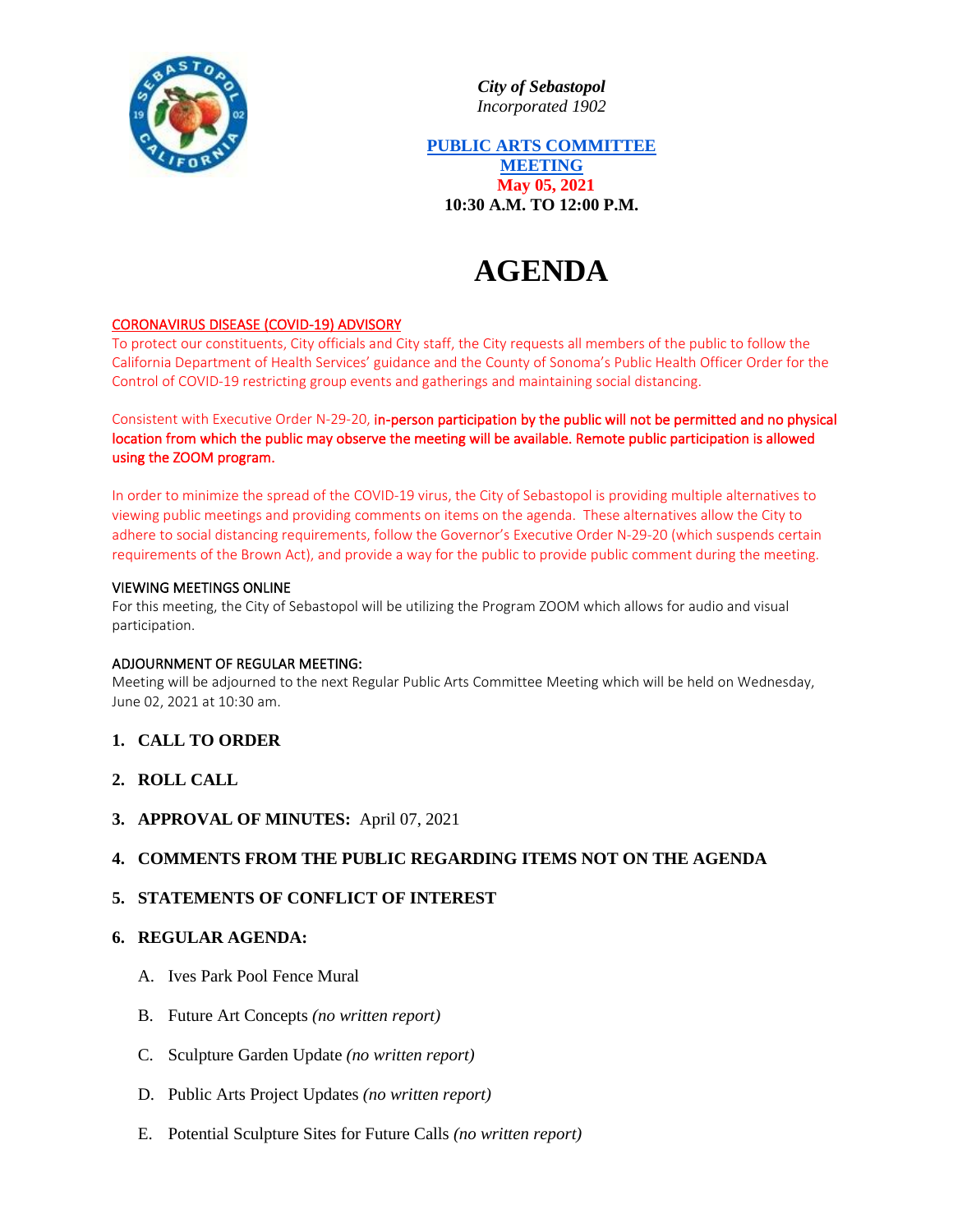

*City of Sebastopol Incorporated 1902*

**PUBLIC ARTS COMMITTEE MEETING May 05, 2021 10:30 A.M. TO 12:00 P.M.**

# **AGENDA**

## CORONAVIRUS DISEASE (COVID-19) ADVISORY

To protect our constituents, City officials and City staff, the City requests all members of the public to follow the California Department of Health Services' guidance and the County of Sonoma's Public Health Officer Order for the Control of COVID-19 restricting group events and gatherings and maintaining social distancing.

Consistent with Executive Order N-29-20, in-person participation by the public will not be permitted and no physical location from which the public may observe the meeting will be available. Remote public participation is allowed using the ZOOM program.

In order to minimize the spread of the COVID-19 virus, the City of Sebastopol is providing multiple alternatives to viewing public meetings and providing comments on items on the agenda. These alternatives allow the City to adhere to social distancing requirements, follow the Governor's Executive Order N-29-20 (which suspends certain requirements of the Brown Act), and provide a way for the public to provide public comment during the meeting.

#### VIEWING MEETINGS ONLINE

For this meeting, the City of Sebastopol will be utilizing the Program ZOOM which allows for audio and visual participation.

#### ADJOURNMENT OF REGULAR MEETING:

Meeting will be adjourned to the next Regular Public Arts Committee Meeting which will be held on Wednesday, June 02, 2021 at 10:30 am.

- **1. CALL TO ORDER**
- **2. ROLL CALL**
- **3. APPROVAL OF MINUTES:** April 07, 2021

## **4. COMMENTS FROM THE PUBLIC REGARDING ITEMS NOT ON THE AGENDA**

## **5. STATEMENTS OF CONFLICT OF INTEREST**

#### **6. REGULAR AGENDA:**

- A. Ives Park Pool Fence Mural
- B. Future Art Concepts *(no written report)*
- C. Sculpture Garden Update *(no written report)*
- D. Public Arts Project Updates *(no written report)*
- E. Potential Sculpture Sites for Future Calls *(no written report)*